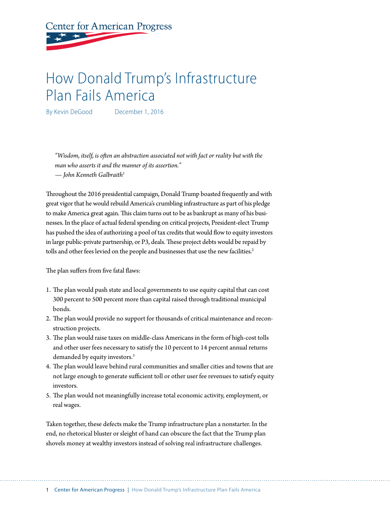# **Center for American Progress**

## How Donald Trump's Infrastructure Plan Fails America

By Kevin DeGood December 1, 2016

*"Wisdom, itself, is often an abstraction associated not with fact or reality but with the man who asserts it and the manner of its assertion." — John Kenneth Galbraith*<sup>1</sup>

Throughout the 2016 presidential campaign, Donald Trump boasted frequently and with great vigor that he would rebuild America's crumbling infrastructure as part of his pledge to make America great again. This claim turns out to be as bankrupt as many of his businesses. In the place of actual federal spending on critical projects, President-elect Trump has pushed the idea of authorizing a pool of tax credits that would flow to equity investors in large public-private partnership, or P3, deals. These project debts would be repaid by tolls and other fees levied on the people and businesses that use the new facilities.<sup>2</sup>

The plan suffers from five fatal flaws:

- 1. The plan would push state and local governments to use equity capital that can cost 300 percent to 500 percent more than capital raised through traditional municipal bonds.
- 2. The plan would provide no support for thousands of critical maintenance and reconstruction projects.
- 3. The plan would raise taxes on middle-class Americans in the form of high-cost tolls and other user fees necessary to satisfy the 10 percent to 14 percent annual returns demanded by equity investors.<sup>3</sup>
- 4. The plan would leave behind rural communities and smaller cities and towns that are not large enough to generate sufficient toll or other user fee revenues to satisfy equity investors.
- 5. The plan would not meaningfully increase total economic activity, employment, or real wages.

Taken together, these defects make the Trump infrastructure plan a nonstarter. In the end, no rhetorical bluster or sleight of hand can obscure the fact that the Trump plan shovels money at wealthy investors instead of solving real infrastructure challenges.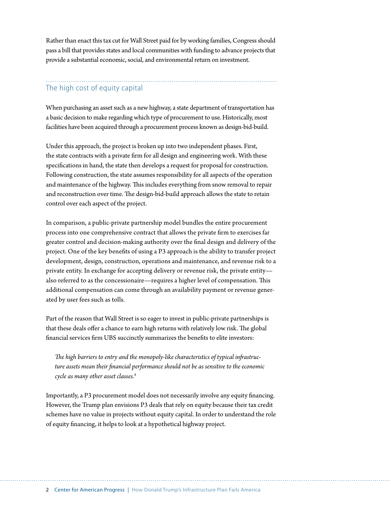Rather than enact this tax cut for Wall Street paid for by working families, Congress should pass a bill that provides states and local communities with funding to advance projects that provide a substantial economic, social, and environmental return on investment.

## The high cost of equity capital

When purchasing an asset such as a new highway, a state department of transportation has a basic decision to make regarding which type of procurement to use. Historically, most facilities have been acquired through a procurement process known as design-bid-build.

Under this approach, the project is broken up into two independent phases. First, the state contracts with a private firm for all design and engineering work. With these specifications in hand, the state then develops a request for proposal for construction. Following construction, the state assumes responsibility for all aspects of the operation and maintenance of the highway. This includes everything from snow removal to repair and reconstruction over time. The design-bid-build approach allows the state to retain control over each aspect of the project.

In comparison, a public-private partnership model bundles the entire procurement process into one comprehensive contract that allows the private firm to exercises far greater control and decision-making authority over the final design and delivery of the project. One of the key benefits of using a P3 approach is the ability to transfer project development, design, construction, operations and maintenance, and revenue risk to a private entity. In exchange for accepting delivery or revenue risk, the private entity also referred to as the concessionaire—requires a higher level of compensation. This additional compensation can come through an availability payment or revenue generated by user fees such as tolls.

Part of the reason that Wall Street is so eager to invest in public-private partnerships is that these deals offer a chance to earn high returns with relatively low risk. The global financial services firm UBS succinctly summarizes the benefits to elite investors:

*The high barriers to entry and the monopoly-like characteristics of typical infrastructure assets mean their financial performance should not be as sensitive to the economic cycle as many other asset classes.*<sup>4</sup>

Importantly, a P3 procurement model does not necessarily involve any equity financing. However, the Trump plan envisions P3 deals that rely on equity because their tax credit schemes have no value in projects without equity capital. In order to understand the role of equity financing, it helps to look at a hypothetical highway project.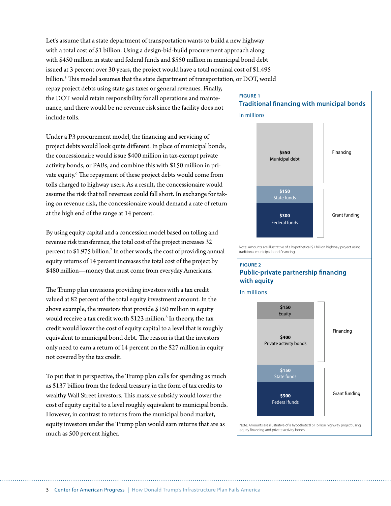Let's assume that a state department of transportation wants to build a new highway with a total cost of \$1 billion. Using a design-bid-build procurement approach along with \$450 million in state and federal funds and \$550 million in municipal bond debt issued at 3 percent over 30 years, the project would have a total nominal cost of \$1.495 billion.5 This model assumes that the state department of transportation, or DOT, would

repay project debts using state gas taxes or general revenues. Finally, the DOT would retain responsibility for all operations and maintenance, and there would be no revenue risk since the facility does not include tolls.

Under a P3 procurement model, the financing and servicing of project debts would look quite different. In place of municipal bonds, the concessionaire would issue \$400 million in tax-exempt private activity bonds, or PABs, and combine this with \$150 million in private equity.<sup>6</sup> The repayment of these project debts would come from tolls charged to highway users. As a result, the concessionaire would assume the risk that toll revenues could fall short. In exchange for taking on revenue risk, the concessionaire would demand a rate of return at the high end of the range at 14 percent.

By using equity capital and a concession model based on tolling and revenue risk transference, the total cost of the project increases 32 percent to \$1.975 billion.<sup>7</sup> In other words, the cost of providing annual equity returns of 14 percent increases the total cost of the project by \$480 million—money that must come from everyday Americans.

The Trump plan envisions providing investors with a tax credit valued at 82 percent of the total equity investment amount. In the above example, the investors that provide \$150 million in equity would receive a tax credit worth \$123 million.<sup>8</sup> In theory, the tax credit would lower the cost of equity capital to a level that is roughly equivalent to municipal bond debt. The reason is that the investors only need to earn a return of 14 percent on the \$27 million in equity not covered by the tax credit.

To put that in perspective, the Trump plan calls for spending as much as \$137 billion from the federal treasury in the form of tax credits to wealthy Wall Street investors. This massive subsidy would lower the cost of equity capital to a level roughly equivalent to municipal bonds. However, in contrast to returns from the municipal bond market, equity investors under the Trump plan would earn returns that are as much as 500 percent higher.

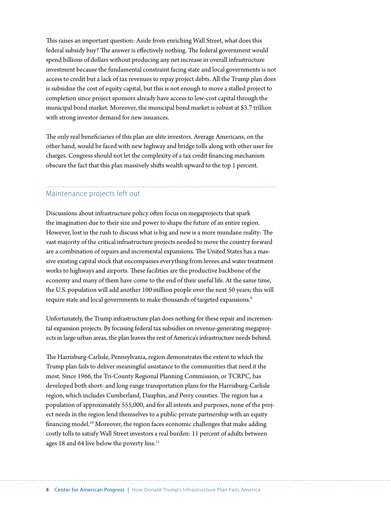This raises an important question: Aside from enriching Wall Street, what does this federal subsidy buy? The answer is effectively nothing. The federal government would spend billions of dollars without producing any net increase in overall infrastructure investment because the fundamental constraint facing state and local governments is not access to credit but a lack of tax revenues to repay project debts. All the Trump plan does is subsidize the cost of equity capital, but this is not enough to move a stalled project to completion since project sponsors already have access to low-cost capital through the municipal bond market. Moreover, the municipal bond market is robust at \$3.7 trillion with strong investor demand for new issuances.

The only real beneficiaries of this plan are elite investors. Average Americans, on the other hand, would be faced with new highway and bridge tolls along with other user fee charges. Congress should not let the complexity of a tax credit financing mechanism obscure the fact that this plan massively shifts wealth upward to the top 1 percent.

### Maintenance projects left out

Discussions about infrastructure policy often focus on megaprojects that spark the imagination due to their size and power to shape the future of an entire region. However, lost in the rush to discuss what is big and new is a more mundane reality: The vast majority of the critical infrastructure projects needed to move the country forward are a combination of repairs and incremental expansions. The United States has a massive existing capital stock that encompasses everything from levees and water treatment works to highways and airports. These facilities are the productive backbone of the economy and many of them have come to the end of their useful life. At the same time, the U.S. population will add another 100 million people over the next 50 years; this will require state and local governments to make thousands of targeted expansions.<sup>9</sup>

Unfortunately, the Trump infrastructure plan does nothing for these repair and incremental expansion projects. By focusing federal tax subsidies on revenue-generating megaprojects in large urban areas, the plan leaves the rest of America's infrastructure needs behind.

The Harrisburg-Carlisle, Pennsylvania, region demonstrates the extent to which the Trump plan fails to deliver meaningful assistance to the communities that need it the most. Since 1966, the Tri-County Regional Planning Commission, or TCRPC, has developed both short- and long-range transportation plans for the Harrisburg-Carlisle region, which includes Cumberland, Dauphin, and Perry counties. The region has a population of approximately 555,000, and for all intents and purposes, none of the project needs in the region lend themselves to a public-private partnership with an equity financing model.<sup>10</sup> Moreover, the region faces economic challenges that make adding costly tolls to satisfy Wall Street investors a real burden: 11 percent of adults between ages 18 and 64 live below the poverty line.<sup>11</sup>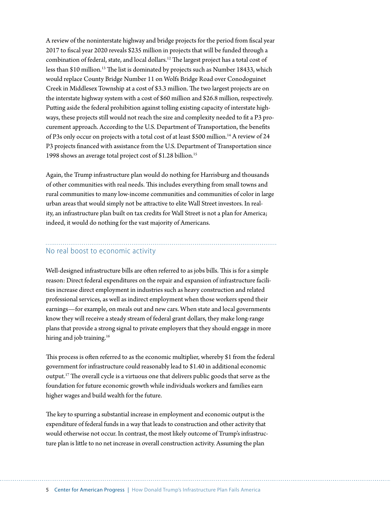A review of the noninterstate highway and bridge projects for the period from fiscal year 2017 to fiscal year 2020 reveals \$235 million in projects that will be funded through a combination of federal, state, and local dollars.12 The largest project has a total cost of less than \$10 million.<sup>13</sup> The list is dominated by projects such as Number 18433, which would replace County Bridge Number 11 on Wolfs Bridge Road over Conodoguinet Creek in Middlesex Township at a cost of \$3.3 million. The two largest projects are on the interstate highway system with a cost of \$60 million and \$26.8 million, respectively. Putting aside the federal prohibition against tolling existing capacity of interstate highways, these projects still would not reach the size and complexity needed to fit a P3 procurement approach. According to the U.S. Department of Transportation, the benefits of P3s only occur on projects with a total cost of at least \$500 million.<sup>14</sup> A review of 24 P3 projects financed with assistance from the U.S. Department of Transportation since 1998 shows an average total project cost of \$1.28 billion.15

Again, the Trump infrastructure plan would do nothing for Harrisburg and thousands of other communities with real needs. This includes everything from small towns and rural communities to many low-income communities and communities of color in large urban areas that would simply not be attractive to elite Wall Street investors. In reality, an infrastructure plan built on tax credits for Wall Street is not a plan for America; indeed, it would do nothing for the vast majority of Americans.

#### No real boost to economic activity

Well-designed infrastructure bills are often referred to as jobs bills. This is for a simple reason: Direct federal expenditures on the repair and expansion of infrastructure facilities increase direct employment in industries such as heavy construction and related professional services, as well as indirect employment when those workers spend their earnings—for example, on meals out and new cars. When state and local governments know they will receive a steady stream of federal grant dollars, they make long-range plans that provide a strong signal to private employers that they should engage in more hiring and job training.<sup>16</sup>

This process is often referred to as the economic multiplier, whereby \$1 from the federal government for infrastructure could reasonably lead to \$1.40 in additional economic output.17 The overall cycle is a virtuous one that delivers public goods that serve as the foundation for future economic growth while individuals workers and families earn higher wages and build wealth for the future.

The key to spurring a substantial increase in employment and economic output is the expenditure of federal funds in a way that leads to construction and other activity that would otherwise not occur. In contrast, the most likely outcome of Trump's infrastructure plan is little to no net increase in overall construction activity. Assuming the plan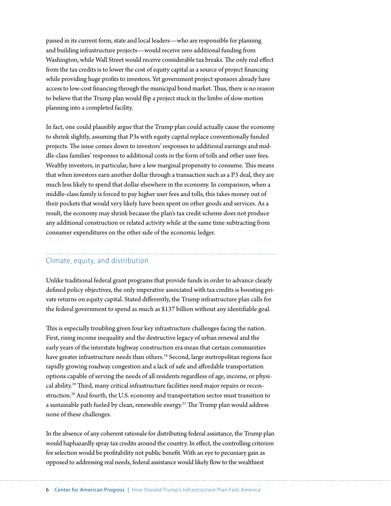passed in its current form, state and local leaders—who are responsible for planning and building infrastructure projects—would receive zero additional funding from Washington, while Wall Street would receive considerable tax breaks. The only real effect from the tax credits is to lower the cost of equity capital as a source of project financing while providing huge profits to investors. Yet government project sponsors already have access to low-cost financing through the municipal bond market. Thus, there is no reason to believe that the Trump plan would flip a project stuck in the limbo of slow-motion planning into a completed facility.

In fact, one could plausibly argue that the Trump plan could actually cause the economy to shrink slightly, assuming that P3s with equity capital replace conventionally funded projects. The issue comes down to investors' responses to additional earnings and middle-class families' responses to additional costs in the form of tolls and other user fees. Wealthy investors, in particular, have a low marginal propensity to consume. This means that when investors earn another dollar through a transaction such as a P3 deal, they are much less likely to spend that dollar elsewhere in the economy. In comparison, when a middle-class family is forced to pay higher user fees and tolls, this takes money out of their pockets that would very likely have been spent on other goods and services. As a result, the economy may shrink because the plan's tax credit scheme does not produce any additional construction or related activity while at the same time subtracting from consumer expenditures on the other side of the economic ledger.

## Climate, equity, and distribution

Unlike traditional federal grant programs that provide funds in order to advance clearly defined policy objectives, the only imperative associated with tax credits is boosting private returns on equity capital. Stated differently, the Trump infrastructure plan calls for the federal government to spend as much as \$137 billion without any identifiable goal.

This is especially troubling given four key infrastructure challenges facing the nation. First, rising income inequality and the destructive legacy of urban renewal and the early years of the interstate highway construction era mean that certain communities have greater infrastructure needs than others.<sup>18</sup> Second, large metropolitan regions face rapidly growing roadway congestion and a lack of safe and affordable transportation options capable of serving the needs of all residents regardless of age, income, or physical ability.<sup>19</sup> Third, many critical infrastructure facilities need major repairs or reconstruction.<sup>20</sup> And fourth, the U.S. economy and transportation sector must transition to a sustainable path fueled by clean, renewable energy.<sup>21</sup> The Trump plan would address none of these challenges.

In the absence of any coherent rationale for distributing federal assistance, the Trump plan would haphazardly spray tax credits around the country. In effect, the controlling criterion for selection would be profitability not public benefit. With an eye to pecuniary gain as opposed to addressing real needs, federal assistance would likely flow to the wealthiest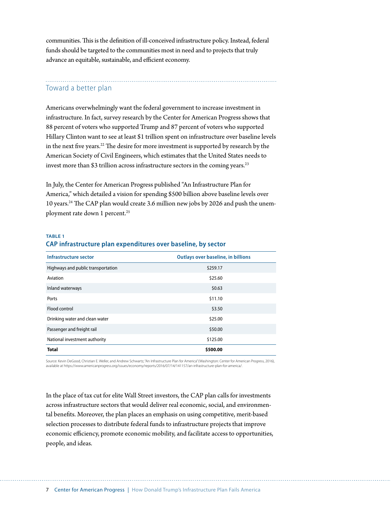communities. This is the definition of ill-conceived infrastructure policy. Instead, federal funds should be targeted to the communities most in need and to projects that truly advance an equitable, sustainable, and efficient economy.

### Toward a better plan

Americans overwhelmingly want the federal government to increase investment in infrastructure. In fact, survey research by the Center for American Progress shows that 88 percent of voters who supported Trump and 87 percent of voters who supported Hillary Clinton want to see at least \$1 trillion spent on infrastructure over baseline levels in the next five years.22 The desire for more investment is supported by research by the American Society of Civil Engineers, which estimates that the United States needs to invest more than \$3 trillion across infrastructure sectors in the coming years. $23$ 

In July, the Center for American Progress published "An Infrastructure Plan for America," which detailed a vision for spending \$500 billion above baseline levels over 10 years.24 The CAP plan would create 3.6 million new jobs by 2026 and push the unemployment rate down 1 percent.<sup>25</sup>

#### **TABLE 1 CAP infrastructure plan expenditures over baseline, by sector**

| Infrastructure sector              | <b>Outlays over baseline, in billions</b> |
|------------------------------------|-------------------------------------------|
| Highways and public transportation | \$259.17                                  |
| Aviation                           | \$25.60                                   |
| Inland waterways                   | \$0.63                                    |
| Ports                              | \$11.10                                   |
| Flood control                      | \$3.50                                    |
| Drinking water and clean water     | \$25.00                                   |
| Passenger and freight rail         | \$50.00                                   |
| National investment authority      | \$125.00                                  |
| <b>Total</b>                       | \$500.00                                  |

Source: Kevin DeGood, Christian E. Weller, and Andrew Schwartz, "An Infrastructure Plan for America" (Washington: Center for American Progress, 2016), available at https://www.americanprogress.org/issues/economy/reports/2016/07/14/141157/an-infrastructure-plan-for-america/.

In the place of tax cut for elite Wall Street investors, the CAP plan calls for investments across infrastructure sectors that would deliver real economic, social, and environmental benefits. Moreover, the plan places an emphasis on using competitive, merit-based selection processes to distribute federal funds to infrastructure projects that improve economic efficiency, promote economic mobility, and facilitate access to opportunities, people, and ideas.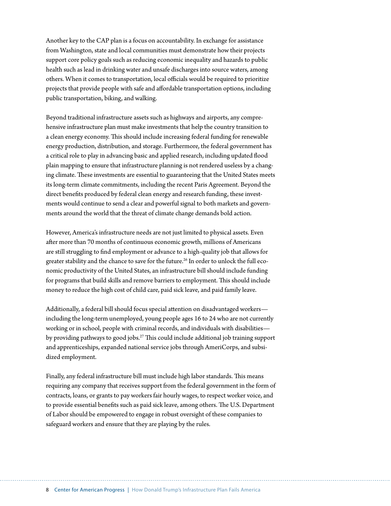Another key to the CAP plan is a focus on accountability. In exchange for assistance from Washington, state and local communities must demonstrate how their projects support core policy goals such as reducing economic inequality and hazards to public health such as lead in drinking water and unsafe discharges into source waters, among others. When it comes to transportation, local officials would be required to prioritize projects that provide people with safe and affordable transportation options, including public transportation, biking, and walking.

Beyond traditional infrastructure assets such as highways and airports, any comprehensive infrastructure plan must make investments that help the country transition to a clean energy economy. This should include increasing federal funding for renewable energy production, distribution, and storage. Furthermore, the federal government has a critical role to play in advancing basic and applied research, including updated flood plain mapping to ensure that infrastructure planning is not rendered useless by a changing climate. These investments are essential to guaranteeing that the United States meets its long-term climate commitments, including the recent Paris Agreement. Beyond the direct benefits produced by federal clean energy and research funding, these investments would continue to send a clear and powerful signal to both markets and governments around the world that the threat of climate change demands bold action.

However, America's infrastructure needs are not just limited to physical assets. Even after more than 70 months of continuous economic growth, millions of Americans are still struggling to find employment or advance to a high-quality job that allows for greater stability and the chance to save for the future.<sup>26</sup> In order to unlock the full economic productivity of the United States, an infrastructure bill should include funding for programs that build skills and remove barriers to employment. This should include money to reduce the high cost of child care, paid sick leave, and paid family leave.

Additionally, a federal bill should focus special attention on disadvantaged workers including the long-term unemployed, young people ages 16 to 24 who are not currently working or in school, people with criminal records, and individuals with disabilities by providing pathways to good jobs.<sup>27</sup> This could include additional job training support and apprenticeships, expanded national service jobs through AmeriCorps, and subsidized employment.

Finally, any federal infrastructure bill must include high labor standards. This means requiring any company that receives support from the federal government in the form of contracts, loans, or grants to pay workers fair hourly wages, to respect worker voice, and to provide essential benefits such as paid sick leave, among others. The U.S. Department of Labor should be empowered to engage in robust oversight of these companies to safeguard workers and ensure that they are playing by the rules.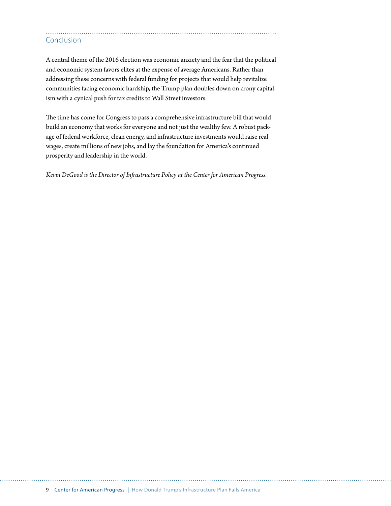## Conclusion

A central theme of the 2016 election was economic anxiety and the fear that the political and economic system favors elites at the expense of average Americans. Rather than addressing these concerns with federal funding for projects that would help revitalize communities facing economic hardship, the Trump plan doubles down on crony capitalism with a cynical push for tax credits to Wall Street investors.

The time has come for Congress to pass a comprehensive infrastructure bill that would build an economy that works for everyone and not just the wealthy few. A robust package of federal workforce, clean energy, and infrastructure investments would raise real wages, create millions of new jobs, and lay the foundation for America's continued prosperity and leadership in the world.

*Kevin DeGood is the Director of Infrastructure Policy at the Center for American Progress.*